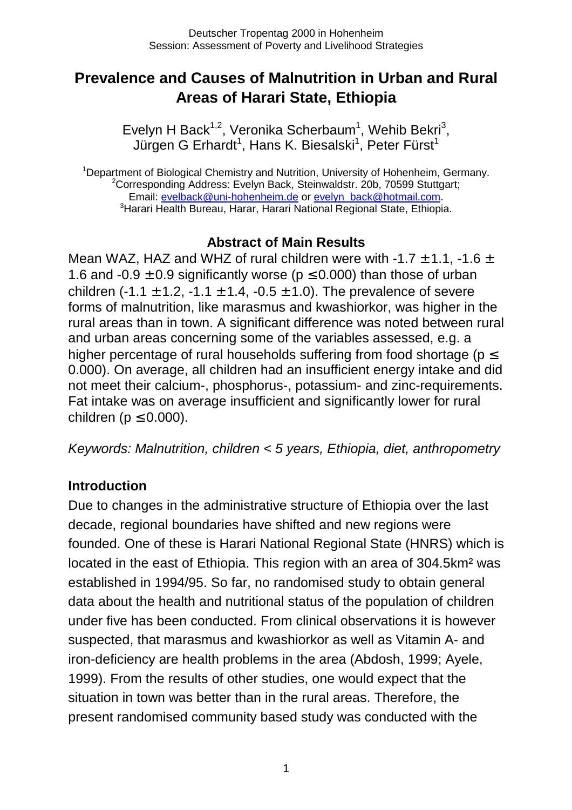# **Prevalence and Causes of Malnutrition in Urban and Rural Areas of Harari State, Ethiopia**

Evelyn H Back<sup>1,2</sup>, Veronika Scherbaum<sup>1</sup>, Wehib Bekri<sup>3</sup>, Jürgen G Erhardt<sup>1</sup>, Hans K. Biesalski<sup>1</sup>, Peter Fürst<sup>1</sup>

<sup>1</sup>Department of Biological Chemistry and Nutrition, University of Hohenheim, Germany. <sup>2</sup>Corresponding Address: Evelyn Back, Steinwaldstr. 20b, 70599 Stuttgart; Email: [evelback@uni-hohenheim.de](mailto:evelback@uni-hohenheim.de) or [evelyn\\_back@hotmail.com.](mailto:evelyn_back@hotmail.com) <sup>3</sup> Harari Health Bureau, Harar, Harari National Regional State, Ethiopia.

### **Abstract of Main Results**

Mean WAZ, HAZ and WHZ of rural children were with  $-1.7 \pm 1.1$ ,  $-1.6 \pm 1.1$ 1.6 and -0.9  $\pm$  0.9 significantly worse ( $p \le 0.000$ ) than those of urban children (-1.1  $\pm$  1.2, -1.1  $\pm$  1.4, -0.5  $\pm$  1.0). The prevalence of severe forms of malnutrition, like marasmus and kwashiorkor, was higher in the rural areas than in town. A significant difference was noted between rural and urban areas concerning some of the variables assessed, e.g. a higher percentage of rural households suffering from food shortage ( $p \leq$ 0.000). On average, all children had an insufficient energy intake and did not meet their calcium-, phosphorus-, potassium- and zinc-requirements. Fat intake was on average insufficient and significantly lower for rural children ( $p \leq 0.000$ ).

*Keywords: Malnutrition, children < 5 years, Ethiopia, diet, anthropometry* 

#### **Introduction**

Due to changes in the administrative structure of Ethiopia over the last decade, regional boundaries have shifted and new regions were founded. One of these is Harari National Regional State (HNRS) which is located in the east of Ethiopia. This region with an area of 304.5km² was established in 1994/95. So far, no randomised study to obtain general data about the health and nutritional status of the population of children under five has been conducted. From clinical observations it is however suspected, that marasmus and kwashiorkor as well as Vitamin A- and iron-deficiency are health problems in the area (Abdosh, 1999; Ayele, 1999). From the results of other studies, one would expect that the situation in town was better than in the rural areas. Therefore, the present randomised community based study was conducted with the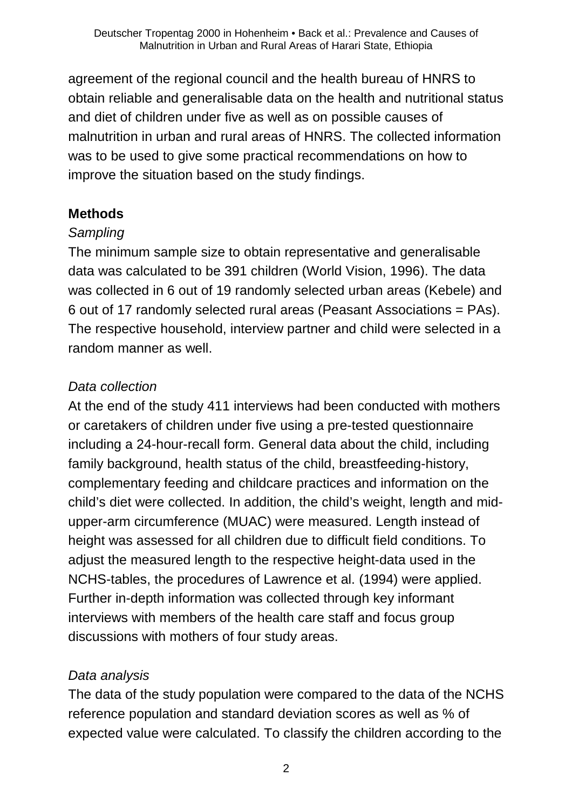agreement of the regional council and the health bureau of HNRS to obtain reliable and generalisable data on the health and nutritional status and diet of children under five as well as on possible causes of malnutrition in urban and rural areas of HNRS. The collected information was to be used to give some practical recommendations on how to improve the situation based on the study findings.

## **Methods**

## *Sampling*

The minimum sample size to obtain representative and generalisable data was calculated to be 391 children (World Vision, 1996). The data was collected in 6 out of 19 randomly selected urban areas (Kebele) and 6 out of 17 randomly selected rural areas (Peasant Associations = PAs). The respective household, interview partner and child were selected in a random manner as well.

## *Data collection*

At the end of the study 411 interviews had been conducted with mothers or caretakers of children under five using a pre-tested questionnaire including a 24-hour-recall form. General data about the child, including family background, health status of the child, breastfeeding-history, complementary feeding and childcare practices and information on the child's diet were collected. In addition, the child's weight, length and midupper-arm circumference (MUAC) were measured. Length instead of height was assessed for all children due to difficult field conditions. To adjust the measured length to the respective height-data used in the NCHS-tables, the procedures of Lawrence et al. (1994) were applied. Further in-depth information was collected through key informant interviews with members of the health care staff and focus group discussions with mothers of four study areas.

## *Data analysis*

The data of the study population were compared to the data of the NCHS reference population and standard deviation scores as well as % of expected value were calculated. To classify the children according to the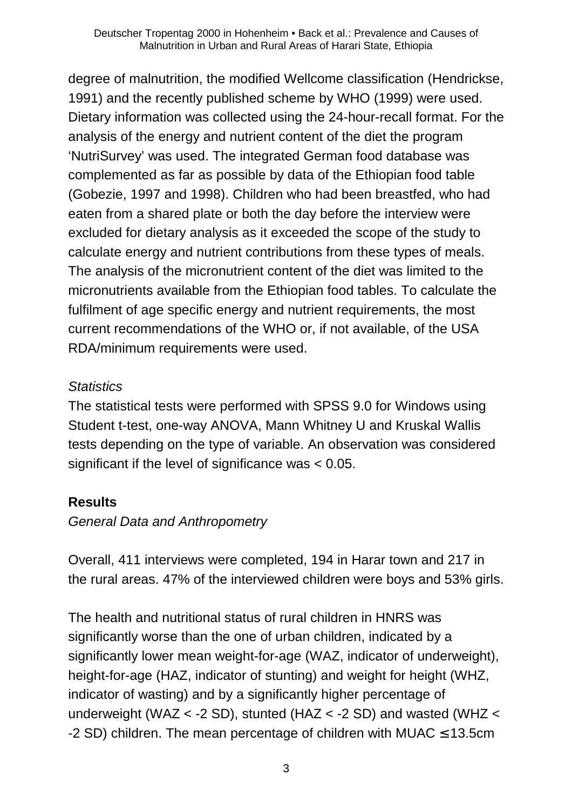degree of malnutrition, the modified Wellcome classification (Hendrickse, 1991) and the recently published scheme by WHO (1999) were used. Dietary information was collected using the 24-hour-recall format. For the analysis of the energy and nutrient content of the diet the program 'NutriSurvey' was used. The integrated German food database was complemented as far as possible by data of the Ethiopian food table (Gobezie, 1997 and 1998). Children who had been breastfed, who had eaten from a shared plate or both the day before the interview were excluded for dietary analysis as it exceeded the scope of the study to calculate energy and nutrient contributions from these types of meals. The analysis of the micronutrient content of the diet was limited to the micronutrients available from the Ethiopian food tables. To calculate the fulfilment of age specific energy and nutrient requirements, the most current recommendations of the WHO or, if not available, of the USA RDA/minimum requirements were used.

#### *Statistics*

The statistical tests were performed with SPSS 9.0 for Windows using Student t-test, one-way ANOVA, Mann Whitney U and Kruskal Wallis tests depending on the type of variable. An observation was considered significant if the level of significance was < 0.05.

## **Results**

### *General Data and Anthropometry*

Overall, 411 interviews were completed, 194 in Harar town and 217 in the rural areas. 47% of the interviewed children were boys and 53% girls.

The health and nutritional status of rural children in HNRS was significantly worse than the one of urban children, indicated by a significantly lower mean weight-for-age (WAZ, indicator of underweight), height-for-age (HAZ, indicator of stunting) and weight for height (WHZ, indicator of wasting) and by a significantly higher percentage of underweight (WAZ < -2 SD), stunted (HAZ < -2 SD) and wasted (WHZ < -2 SD) children. The mean percentage of children with MUAC  $\leq$  13.5cm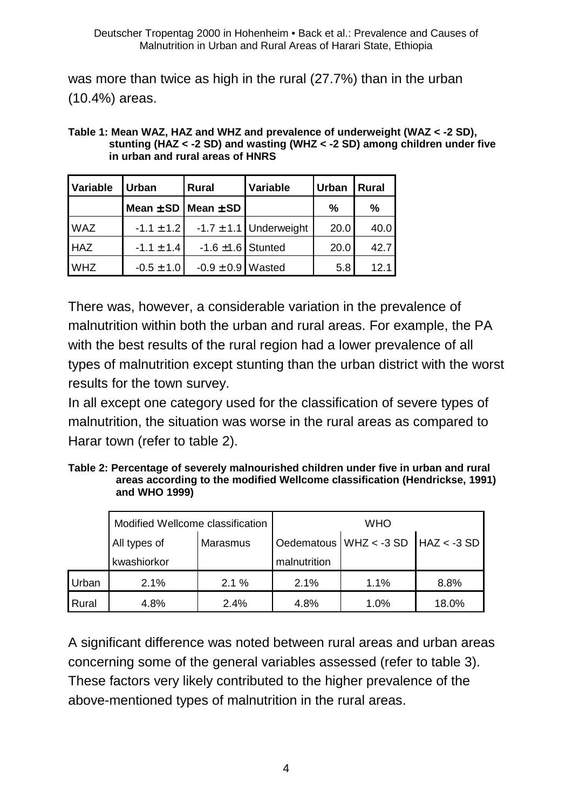was more than twice as high in the rural (27.7%) than in the urban (10.4%) areas.

| Table 1: Mean WAZ, HAZ and WHZ and prevalence of underweight (WAZ < -2 SD),    |
|--------------------------------------------------------------------------------|
| stunting (HAZ $<$ -2 SD) and wasting (WHZ $<$ -2 SD) among children under five |
| in urban and rural areas of HNRS                                               |

| Variable   | Urban          | Rural                         | <b>Variable</b>            | <b>Urban</b> | <b>Rural</b> |
|------------|----------------|-------------------------------|----------------------------|--------------|--------------|
|            |                | Mean $\pm$ SD   Mean $\pm$ SD |                            | %            | $\%$         |
| <b>WAZ</b> | $-1.1 \pm 1.2$ |                               | $-1.7 \pm 1.1$ Underweight | 20.0         | 40.0         |
| <b>HAZ</b> | $-1.1 \pm 1.4$ | $-1.6 \pm 1.6$ Stunted        |                            | 20.0         | 42.7         |
| <b>WHZ</b> | $-0.5 \pm 1.0$ | $-0.9 \pm 0.9$ Wasted         |                            | 5.8          | 12.1         |

There was, however, a considerable variation in the prevalence of malnutrition within both the urban and rural areas. For example, the PA with the best results of the rural region had a lower prevalence of all types of malnutrition except stunting than the urban district with the worst results for the town survey.

In all except one category used for the classification of severe types of malnutrition, the situation was worse in the rural areas as compared to Harar town (refer to table 2).

**Table 2: Percentage of severely malnourished children under five in urban and rural areas according to the modified Wellcome classification (Hendrickse, 1991) and WHO 1999)** 

|       | Modified Wellcome classification |          | <b>WHO</b>   |                                |               |  |
|-------|----------------------------------|----------|--------------|--------------------------------|---------------|--|
|       | All types of                     | Marasmus |              | Oedematous $\vert$ WHZ < -3 SD | $HAZ < -3$ SD |  |
|       | kwashiorkor                      |          | malnutrition |                                |               |  |
| Urban | 2.1%                             | 2.1%     | 2.1%         | 1.1%                           | 8.8%          |  |
| Rural | 4.8%                             | 2.4%     | 4.8%         | 1.0%                           | 18.0%         |  |

A significant difference was noted between rural areas and urban areas concerning some of the general variables assessed (refer to table 3). These factors very likely contributed to the higher prevalence of the above-mentioned types of malnutrition in the rural areas.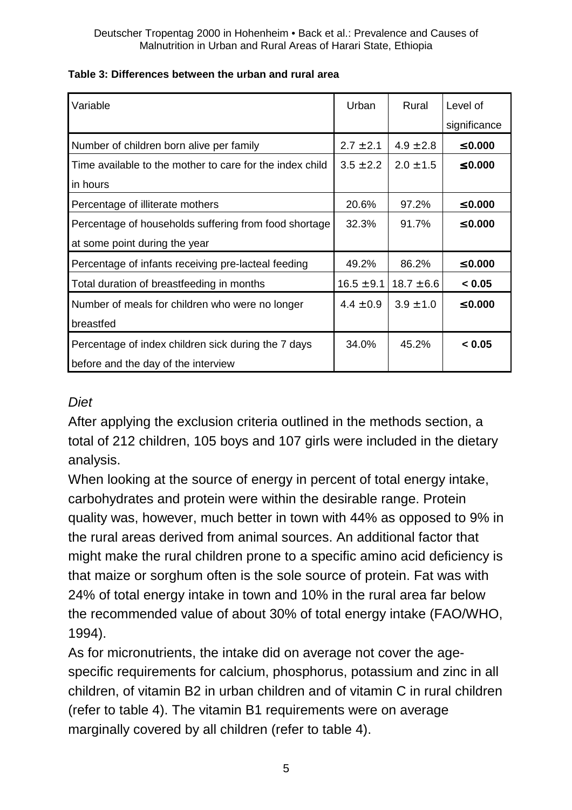| Variable                                                 | Urban          | Rural          | Level of     |
|----------------------------------------------------------|----------------|----------------|--------------|
|                                                          |                |                | significance |
| Number of children born alive per family                 | $2.7 \pm 2.1$  | $4.9 \pm 2.8$  | $\leq 0.000$ |
| Time available to the mother to care for the index child | $3.5 \pm 2.2$  | $2.0 \pm 1.5$  | $\leq 0.000$ |
| in hours                                                 |                |                |              |
| Percentage of illiterate mothers                         | 20.6%          | 97.2%          | $\leq 0.000$ |
| Percentage of households suffering from food shortage    | 32.3%          | 91.7%          | $\leq 0.000$ |
| at some point during the year                            |                |                |              |
| Percentage of infants receiving pre-lacteal feeding      | 49.2%          | 86.2%          | $\leq 0.000$ |
| Total duration of breastfeeding in months                | $16.5 \pm 9.1$ | $18.7 \pm 6.6$ | < 0.05       |
| Number of meals for children who were no longer          | $4.4 \pm 0.9$  | $3.9 \pm 1.0$  | $\leq 0.000$ |
| breastfed                                                |                |                |              |
| Percentage of index children sick during the 7 days      | 34.0%          | 45.2%          | < 0.05       |
| before and the day of the interview                      |                |                |              |

#### **Table 3: Differences between the urban and rural area**

#### *Diet*

After applying the exclusion criteria outlined in the methods section, a total of 212 children, 105 boys and 107 girls were included in the dietary analysis.

When looking at the source of energy in percent of total energy intake, carbohydrates and protein were within the desirable range. Protein quality was, however, much better in town with 44% as opposed to 9% in the rural areas derived from animal sources. An additional factor that might make the rural children prone to a specific amino acid deficiency is that maize or sorghum often is the sole source of protein. Fat was with 24% of total energy intake in town and 10% in the rural area far below the recommended value of about 30% of total energy intake (FAO/WHO, 1994).

As for micronutrients, the intake did on average not cover the agespecific requirements for calcium, phosphorus, potassium and zinc in all children, of vitamin B2 in urban children and of vitamin C in rural children (refer to table 4). The vitamin B1 requirements were on average marginally covered by all children (refer to table 4).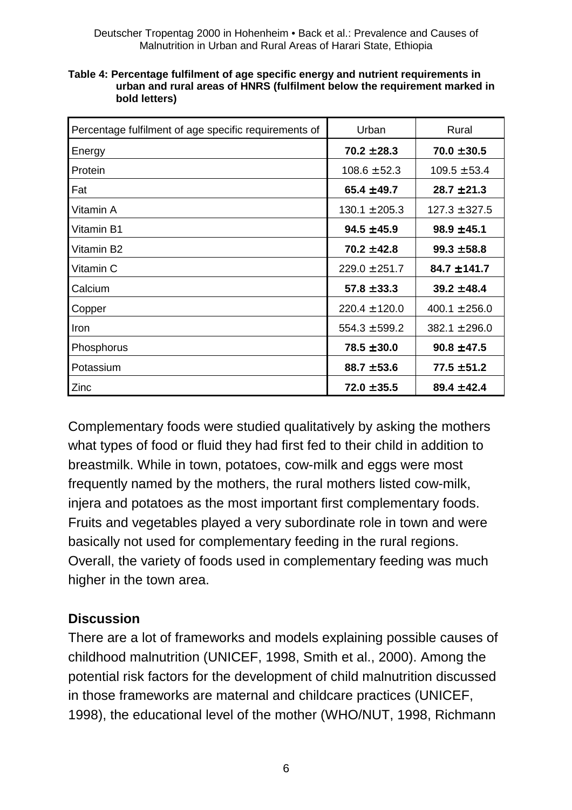Deutscher Tropentag 2000 in Hohenheim • Back et al.: Prevalence and Causes of Malnutrition in Urban and Rural Areas of Harari State, Ethiopia

| Percentage fulfilment of age specific requirements of | Urban             | Rural             |
|-------------------------------------------------------|-------------------|-------------------|
| Energy                                                | $70.2 \pm 28.3$   | $70.0 \pm 30.5$   |
| Protein                                               | $108.6 \pm 52.3$  | $109.5 \pm 53.4$  |
| Fat                                                   | $65.4 \pm 49.7$   | $28.7 \pm 21.3$   |
| Vitamin A                                             | $130.1 \pm 205.3$ | $127.3 \pm 327.5$ |
| Vitamin B1                                            | $94.5 \pm 45.9$   | $98.9 \pm 45.1$   |
| Vitamin B2                                            | $70.2 \pm 42.8$   | $99.3 \pm 58.8$   |
| Vitamin C                                             | $229.0 \pm 251.7$ | $84.7 \pm 141.7$  |
| Calcium                                               | $57.8 \pm 33.3$   | $39.2 \pm 48.4$   |
| Copper                                                | $220.4 \pm 120.0$ | $400.1 \pm 256.0$ |
| Iron                                                  | $554.3 \pm 599.2$ | $382.1 \pm 296.0$ |
| Phosphorus                                            | $78.5 \pm 30.0$   | $90.8 \pm 47.5$   |
| Potassium                                             | $88.7 \pm 53.6$   | $77.5 \pm 51.2$   |
| Zinc                                                  | $72.0 \pm 35.5$   | $89.4 \pm 42.4$   |

| Table 4: Percentage fulfilment of age specific energy and nutrient requirements in |
|------------------------------------------------------------------------------------|
| urban and rural areas of HNRS (fulfilment below the requirement marked in          |
| bold letters)                                                                      |

Complementary foods were studied qualitatively by asking the mothers what types of food or fluid they had first fed to their child in addition to breastmilk. While in town, potatoes, cow-milk and eggs were most frequently named by the mothers, the rural mothers listed cow-milk, injera and potatoes as the most important first complementary foods. Fruits and vegetables played a very subordinate role in town and were basically not used for complementary feeding in the rural regions. Overall, the variety of foods used in complementary feeding was much higher in the town area.

### **Discussion**

There are a lot of frameworks and models explaining possible causes of childhood malnutrition (UNICEF, 1998, Smith et al., 2000). Among the potential risk factors for the development of child malnutrition discussed in those frameworks are maternal and childcare practices (UNICEF, 1998), the educational level of the mother (WHO/NUT, 1998, Richmann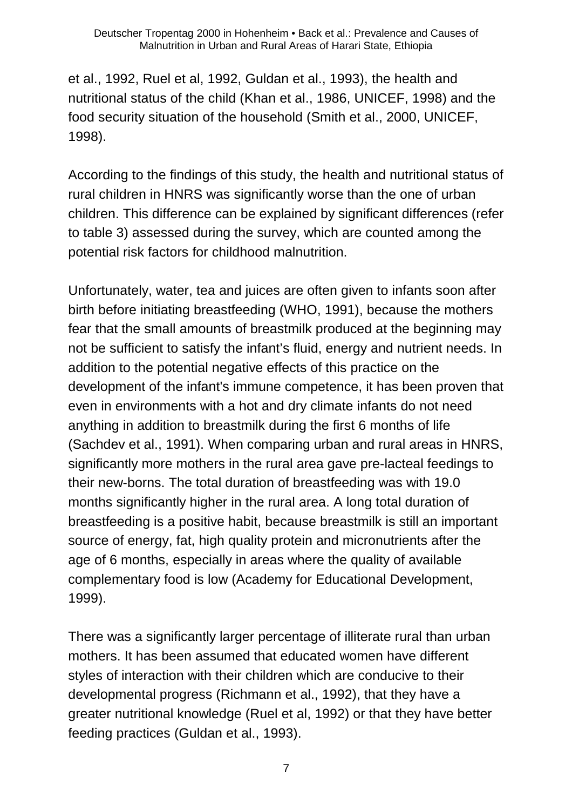et al., 1992, Ruel et al, 1992, Guldan et al., 1993), the health and nutritional status of the child (Khan et al., 1986, UNICEF, 1998) and the food security situation of the household (Smith et al., 2000, UNICEF, 1998).

According to the findings of this study, the health and nutritional status of rural children in HNRS was significantly worse than the one of urban children. This difference can be explained by significant differences (refer to table 3) assessed during the survey, which are counted among the potential risk factors for childhood malnutrition.

Unfortunately, water, tea and juices are often given to infants soon after birth before initiating breastfeeding (WHO, 1991), because the mothers fear that the small amounts of breastmilk produced at the beginning may not be sufficient to satisfy the infant's fluid, energy and nutrient needs. In addition to the potential negative effects of this practice on the development of the infant's immune competence, it has been proven that even in environments with a hot and dry climate infants do not need anything in addition to breastmilk during the first 6 months of life (Sachdev et al., 1991). When comparing urban and rural areas in HNRS, significantly more mothers in the rural area gave pre-lacteal feedings to their new-borns. The total duration of breastfeeding was with 19.0 months significantly higher in the rural area. A long total duration of breastfeeding is a positive habit, because breastmilk is still an important source of energy, fat, high quality protein and micronutrients after the age of 6 months, especially in areas where the quality of available complementary food is low (Academy for Educational Development, 1999).

There was a significantly larger percentage of illiterate rural than urban mothers. It has been assumed that educated women have different styles of interaction with their children which are conducive to their developmental progress (Richmann et al., 1992), that they have a greater nutritional knowledge (Ruel et al, 1992) or that they have better feeding practices (Guldan et al., 1993).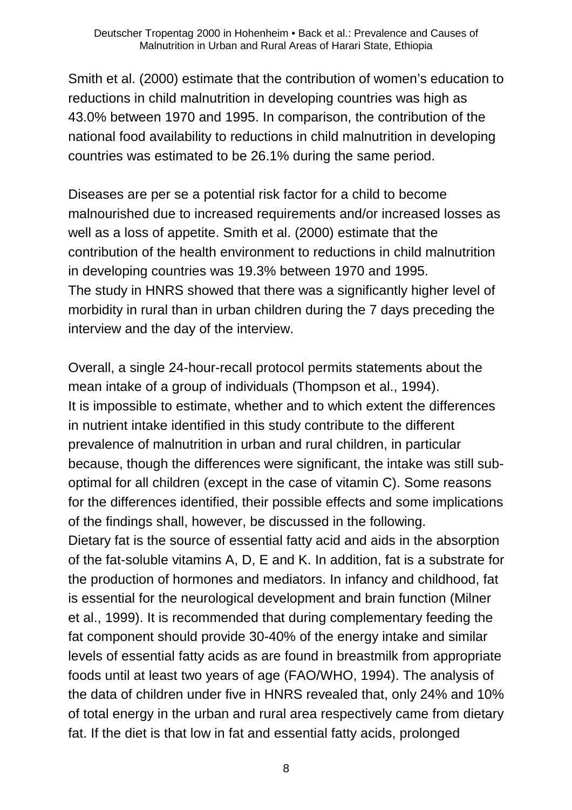Smith et al. (2000) estimate that the contribution of women's education to reductions in child malnutrition in developing countries was high as 43.0% between 1970 and 1995. In comparison, the contribution of the national food availability to reductions in child malnutrition in developing countries was estimated to be 26.1% during the same period.

Diseases are per se a potential risk factor for a child to become malnourished due to increased requirements and/or increased losses as well as a loss of appetite. Smith et al. (2000) estimate that the contribution of the health environment to reductions in child malnutrition in developing countries was 19.3% between 1970 and 1995. The study in HNRS showed that there was a significantly higher level of morbidity in rural than in urban children during the 7 days preceding the interview and the day of the interview.

Overall, a single 24-hour-recall protocol permits statements about the mean intake of a group of individuals (Thompson et al., 1994). It is impossible to estimate, whether and to which extent the differences in nutrient intake identified in this study contribute to the different prevalence of malnutrition in urban and rural children, in particular because, though the differences were significant, the intake was still suboptimal for all children (except in the case of vitamin C). Some reasons for the differences identified, their possible effects and some implications of the findings shall, however, be discussed in the following. Dietary fat is the source of essential fatty acid and aids in the absorption of the fat-soluble vitamins A, D, E and K. In addition, fat is a substrate for the production of hormones and mediators. In infancy and childhood, fat is essential for the neurological development and brain function (Milner et al., 1999). It is recommended that during complementary feeding the fat component should provide 30-40% of the energy intake and similar levels of essential fatty acids as are found in breastmilk from appropriate foods until at least two years of age (FAO/WHO, 1994). The analysis of the data of children under five in HNRS revealed that, only 24% and 10% of total energy in the urban and rural area respectively came from dietary fat. If the diet is that low in fat and essential fatty acids, prolonged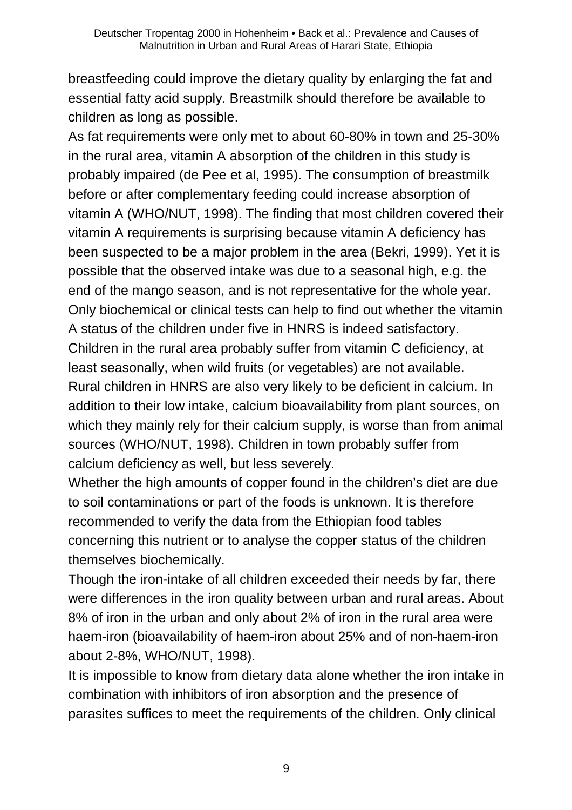breastfeeding could improve the dietary quality by enlarging the fat and essential fatty acid supply. Breastmilk should therefore be available to children as long as possible.

As fat requirements were only met to about 60-80% in town and 25-30% in the rural area, vitamin A absorption of the children in this study is probably impaired (de Pee et al, 1995). The consumption of breastmilk before or after complementary feeding could increase absorption of vitamin A (WHO/NUT, 1998). The finding that most children covered their vitamin A requirements is surprising because vitamin A deficiency has been suspected to be a major problem in the area (Bekri, 1999). Yet it is possible that the observed intake was due to a seasonal high, e.g. the end of the mango season, and is not representative for the whole year. Only biochemical or clinical tests can help to find out whether the vitamin A status of the children under five in HNRS is indeed satisfactory. Children in the rural area probably suffer from vitamin C deficiency, at least seasonally, when wild fruits (or vegetables) are not available. Rural children in HNRS are also very likely to be deficient in calcium. In addition to their low intake, calcium bioavailability from plant sources, on which they mainly rely for their calcium supply, is worse than from animal sources (WHO/NUT, 1998). Children in town probably suffer from calcium deficiency as well, but less severely.

Whether the high amounts of copper found in the children's diet are due to soil contaminations or part of the foods is unknown. It is therefore recommended to verify the data from the Ethiopian food tables concerning this nutrient or to analyse the copper status of the children themselves biochemically.

Though the iron-intake of all children exceeded their needs by far, there were differences in the iron quality between urban and rural areas. About 8% of iron in the urban and only about 2% of iron in the rural area were haem-iron (bioavailability of haem-iron about 25% and of non-haem-iron about 2-8%, WHO/NUT, 1998).

It is impossible to know from dietary data alone whether the iron intake in combination with inhibitors of iron absorption and the presence of parasites suffices to meet the requirements of the children. Only clinical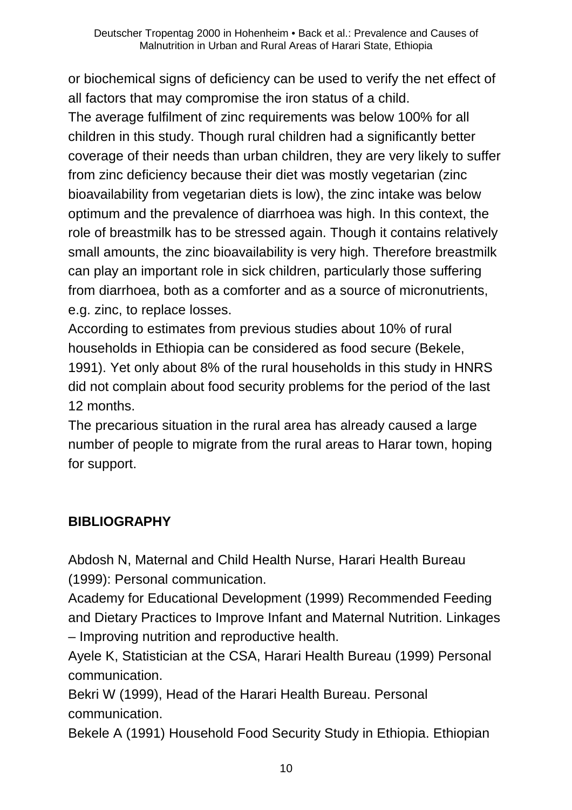or biochemical signs of deficiency can be used to verify the net effect of all factors that may compromise the iron status of a child. The average fulfilment of zinc requirements was below 100% for all children in this study. Though rural children had a significantly better coverage of their needs than urban children, they are very likely to suffer from zinc deficiency because their diet was mostly vegetarian (zinc bioavailability from vegetarian diets is low), the zinc intake was below optimum and the prevalence of diarrhoea was high. In this context, the role of breastmilk has to be stressed again. Though it contains relatively small amounts, the zinc bioavailability is very high. Therefore breastmilk can play an important role in sick children, particularly those suffering from diarrhoea, both as a comforter and as a source of micronutrients, e.g. zinc, to replace losses.

According to estimates from previous studies about 10% of rural households in Ethiopia can be considered as food secure (Bekele, 1991). Yet only about 8% of the rural households in this study in HNRS did not complain about food security problems for the period of the last 12 months.

The precarious situation in the rural area has already caused a large number of people to migrate from the rural areas to Harar town, hoping for support.

# **BIBLIOGRAPHY**

Abdosh N, Maternal and Child Health Nurse, Harari Health Bureau (1999): Personal communication.

Academy for Educational Development (1999) Recommended Feeding and Dietary Practices to Improve Infant and Maternal Nutrition. Linkages – Improving nutrition and reproductive health.

Ayele K, Statistician at the CSA, Harari Health Bureau (1999) Personal communication.

Bekri W (1999), Head of the Harari Health Bureau. Personal communication.

Bekele A (1991) Household Food Security Study in Ethiopia. Ethiopian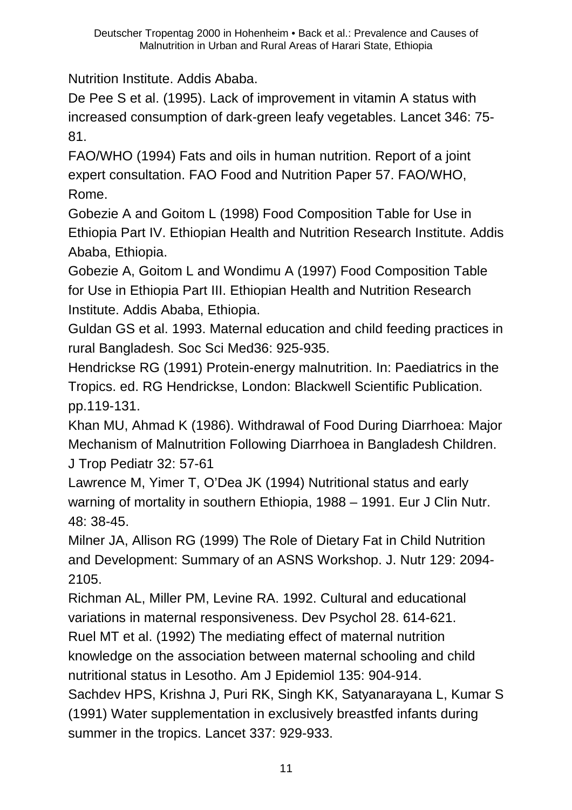Nutrition Institute. Addis Ababa.

De Pee S et al. (1995). Lack of improvement in vitamin A status with increased consumption of dark-green leafy vegetables. Lancet 346: 75- 81.

FAO/WHO (1994) Fats and oils in human nutrition. Report of a joint expert consultation. FAO Food and Nutrition Paper 57. FAO/WHO, Rome.

Gobezie A and Goitom L (1998) Food Composition Table for Use in Ethiopia Part IV. Ethiopian Health and Nutrition Research Institute. Addis Ababa, Ethiopia.

Gobezie A, Goitom L and Wondimu A (1997) Food Composition Table for Use in Ethiopia Part III. Ethiopian Health and Nutrition Research Institute. Addis Ababa, Ethiopia.

Guldan GS et al. 1993. Maternal education and child feeding practices in rural Bangladesh. Soc Sci Med36: 925-935.

Hendrickse RG (1991) Protein-energy malnutrition. In: Paediatrics in the Tropics. ed. RG Hendrickse, London: Blackwell Scientific Publication. pp.119-131.

Khan MU, Ahmad K (1986). Withdrawal of Food During Diarrhoea: Major Mechanism of Malnutrition Following Diarrhoea in Bangladesh Children. J Trop Pediatr 32: 57-61

Lawrence M, Yimer T, O'Dea JK (1994) Nutritional status and early warning of mortality in southern Ethiopia, 1988 – 1991. Eur J Clin Nutr. 48: 38-45.

Milner JA, Allison RG (1999) The Role of Dietary Fat in Child Nutrition and Development: Summary of an ASNS Workshop. J. Nutr 129: 2094- 2105.

Richman AL, Miller PM, Levine RA. 1992. Cultural and educational variations in maternal responsiveness. Dev Psychol 28. 614-621.

Ruel MT et al. (1992) The mediating effect of maternal nutrition knowledge on the association between maternal schooling and child nutritional status in Lesotho. Am J Epidemiol 135: 904-914.

Sachdev HPS, Krishna J, Puri RK, Singh KK, Satyanarayana L, Kumar S (1991) Water supplementation in exclusively breastfed infants during summer in the tropics. Lancet 337: 929-933.